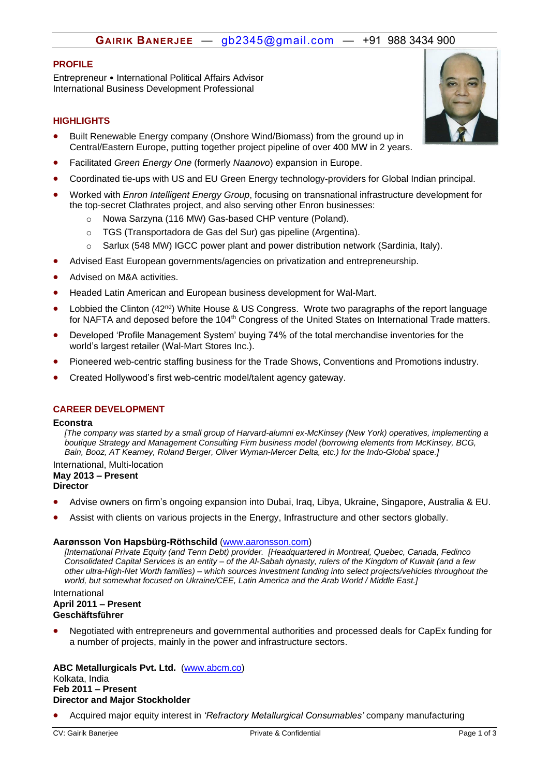# **GAIRIK BANERJEE** — *H*[gb2345@gmail.com](mailto:gb2345@gmail.com) — +91 988 3434 900

## **PROFILE**

Entrepreneur • International Political Affairs Advisor International Business Development Professional

## **HIGHLIGHTS**

- Built Renewable Energy company (Onshore Wind/Biomass) from the ground up in Central/Eastern Europe, putting together project pipeline of over 400 MW in 2 years.
- Facilitated *Green Energy One* (formerly *Naanovo*) expansion in Europe.
- Coordinated tie-ups with US and EU Green Energy technology-providers for Global Indian principal.
- Worked with *Enron Intelligent Energy Group*, focusing on transnational infrastructure development for the top-secret Clathrates project, and also serving other Enron businesses:
	- o Nowa Sarzyna (116 MW) Gas-based CHP venture (Poland).
	- o TGS (Transportadora de Gas del Sur) gas pipeline (Argentina).
	- o Sarlux (548 MW) IGCC power plant and power distribution network (Sardinia, Italy).
- Advised East European governments/agencies on privatization and entrepreneurship.
- Advised on M&A activities.
- Headed Latin American and European business development for Wal-Mart.
- Lobbied the Clinton (42<sup>nd</sup>) White House & US Congress. Wrote two paragraphs of the report language for NAFTA and deposed before the 104<sup>th</sup> Congress of the United States on International Trade matters.
- Developed 'Profile Management System' buying 74% of the total merchandise inventories for the world's largest retailer (Wal-Mart Stores Inc.).
- Pioneered web-centric staffing business for the Trade Shows, Conventions and Promotions industry.
- Created Hollywood's first web-centric model/talent agency gateway.

### **CAREER DEVELOPMENT**

### **Econstra**

*[The company was started by a small group of Harvard-alumni ex-McKinsey (New York) operatives, implementing a boutique Strategy and Management Consulting Firm business model (borrowing elements from McKinsey, BCG, Bain, Booz, AT Kearney, Roland Berger, Oliver Wyman-Mercer Delta, etc.) for the Indo-Global space.]*

#### International, Multi-location **May 2013 – Present Director**

- Advise owners on firm's ongoing expansion into Dubai, Iraq, Libya, Ukraine, Singapore, Australia & EU.
- Assist with clients on various projects in the Energy, Infrastructure and other sectors globally.

### **Aarønsson Von Hapsbürg-Röthschild** [\(www.aaronsson.com\)](http://www.aaronsson.com/)

*[International Private Equity (and Term Debt) provider. [Headquartered in Montreal, Quebec, Canada, Fedinco Consolidated Capital Services is an entity – of the Al-Sabah dynasty, rulers of the Kingdom of Kuwait (and a few other ultra-High-Net Worth families) – which sources investment funding into select projects/vehicles throughout the world, but somewhat focused on Ukraine/CEE, Latin America and the Arab World / Middle East.]*

### International **April 2011 – Present Geschäftsführer**

 Negotiated with entrepreneurs and governmental authorities and processed deals for CapEx funding for a number of projects, mainly in the power and infrastructure sectors.

### **ABC Metallurgicals Pvt. Ltd.** [\(www.abcm.co\)](http://www.abcm.co/) Kolkata, India **Feb 2011 – Present Director and Major Stockholder**

Acquired major equity interest in *'Refractory Metallurgical Consumables'* company manufacturing

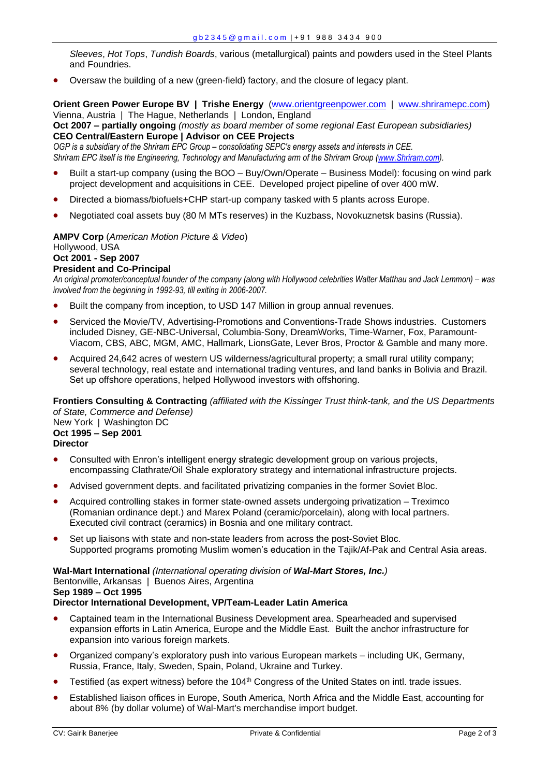*Sleeves*, *Hot Tops*, *Tundish Boards*, various (metallurgical) paints and powders used in the Steel Plants and Foundries.

Oversaw the building of a new (green-field) factory, and the closure of legacy plant.

**Orient Green Power Europe BV | Trishe Energy** [\(www.orientgreenpower.com](http://www.orientgreenpower.co/) | [www.shriramepc.com\)](http://www.shriramepc.com/) Vienna, Austria | The Hague, Netherlands | London, England **Oct 2007 – partially ongoing** *(mostly as board member of some regional East European subsidiaries)*

# **CEO Central/Eastern Europe | Advisor on CEE Projects**

*OGP* is a subsidiary of the Shriram EPC Group – consolidating SEPC's energy assets and interests in CEE. *Shriram EPC itself is the Engineering, Technology and Manufacturing arm of the Shriram Group [\(www.Shriram.com\)](http://www.shriram.com/).*

- Built a start-up company (using the BOO Buy/Own/Operate Business Model): focusing on wind park project development and acquisitions in CEE. Developed project pipeline of over 400 mW.
- Directed a biomass/biofuels+CHP start-up company tasked with 5 plants across Europe.
- Negotiated coal assets buy (80 M MTs reserves) in the Kuzbass, Novokuznetsk basins (Russia).

### **AMPV Corp** (*American Motion Picture & Video*)

# Hollywood, USA

# **Oct 2001 - Sep 2007**

# **President and Co-Principal**

An original promoter/conceptual founder of the company (along with Hollywood celebrities Walter Matthau and Jack Lemmon) – was *involved from the beginning in 1992-93, till exiting in 2006-2007.* 

- Built the company from inception, to USD 147 Million in group annual revenues.
- Serviced the Movie/TV, Advertising-Promotions and Conventions-Trade Shows industries. Customers included Disney, GE-NBC-Universal, Columbia-Sony, DreamWorks, Time-Warner, Fox, Paramount-Viacom, CBS, ABC, MGM, AMC, Hallmark, LionsGate, Lever Bros, Proctor & Gamble and many more.
- Acquired 24,642 acres of western US wilderness/agricultural property; a small rural utility company; several technology, real estate and international trading ventures, and land banks in Bolivia and Brazil. Set up offshore operations, helped Hollywood investors with offshoring.

**Frontiers Consulting & Contracting** *(affiliated with the Kissinger Trust think-tank, and the US Departments of State, Commerce and Defense)* New York **|** Washington DC

**Oct 1995 – Sep 2001 Director** 

- Consulted with Enron's intelligent energy strategic development group on various projects, encompassing Clathrate/Oil Shale exploratory strategy and international infrastructure projects.
- Advised government depts. and facilitated privatizing companies in the former Soviet Bloc.
- Acquired controlling stakes in former state-owned assets undergoing privatization Treximco (Romanian ordinance dept.) and Marex Poland (ceramic/porcelain), along with local partners. Executed civil contract (ceramics) in Bosnia and one military contract.
- Set up liaisons with state and non-state leaders from across the post-Soviet Bloc. Supported programs promoting Muslim women's education in the Tajik/Af-Pak and Central Asia areas.

### **Wal-Mart International** *(International operating division of Wal-Mart Stores, Inc.)* Bentonville, Arkansas | Buenos Aires, Argentina **Sep 1989 – Oct 1995**

## **Director International Development, VP/Team-Leader Latin America**

- Captained team in the International Business Development area. Spearheaded and supervised expansion efforts in Latin America, Europe and the Middle East. Built the anchor infrastructure for expansion into various foreign markets.
- Organized company's exploratory push into various European markets including UK, Germany, Russia, France, Italy, Sweden, Spain, Poland, Ukraine and Turkey.
- Testified (as expert witness) before the 104<sup>th</sup> Congress of the United States on intl. trade issues.
- Established liaison offices in Europe, South America, North Africa and the Middle East, accounting for about 8% (by dollar volume) of Wal-Mart's merchandise import budget.